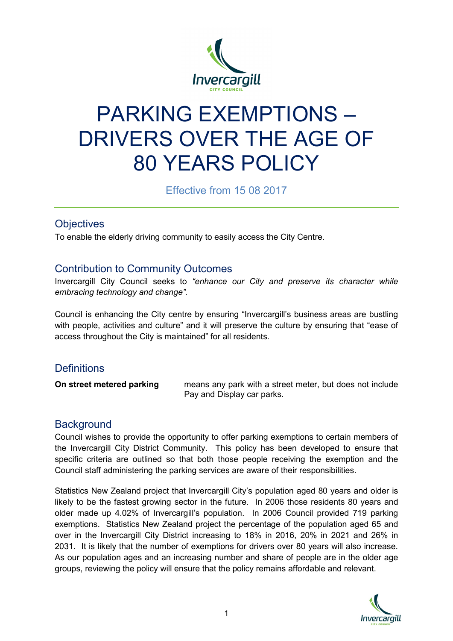

# PARKING EXEMPTIONS – DRIVERS OVER THE AGE OF 80 YEARS POLICY

Effective from 15 08 2017

# **Objectives**

To enable the elderly driving community to easily access the City Centre.

### Contribution to Community Outcomes

Invercargill City Council seeks to *"enhance our City and preserve its character while embracing technology and change".*

Council is enhancing the City centre by ensuring "Invercargill's business areas are bustling with people, activities and culture" and it will preserve the culture by ensuring that "ease of access throughout the City is maintained" for all residents.

# **Definitions**

**On street metered parking** means any park with a street meter, but does not include Pay and Display car parks.

# **Background**

Council wishes to provide the opportunity to offer parking exemptions to certain members of the Invercargill City District Community. This policy has been developed to ensure that specific criteria are outlined so that both those people receiving the exemption and the Council staff administering the parking services are aware of their responsibilities.

Statistics New Zealand project that Invercargill City's population aged 80 years and older is likely to be the fastest growing sector in the future. In 2006 those residents 80 years and older made up 4.02% of Invercargill's population. In 2006 Council provided 719 parking exemptions. Statistics New Zealand project the percentage of the population aged 65 and over in the Invercargill City District increasing to 18% in 2016, 20% in 2021 and 26% in 2031. It is likely that the number of exemptions for drivers over 80 years will also increase. As our population ages and an increasing number and share of people are in the older age groups, reviewing the policy will ensure that the policy remains affordable and relevant.